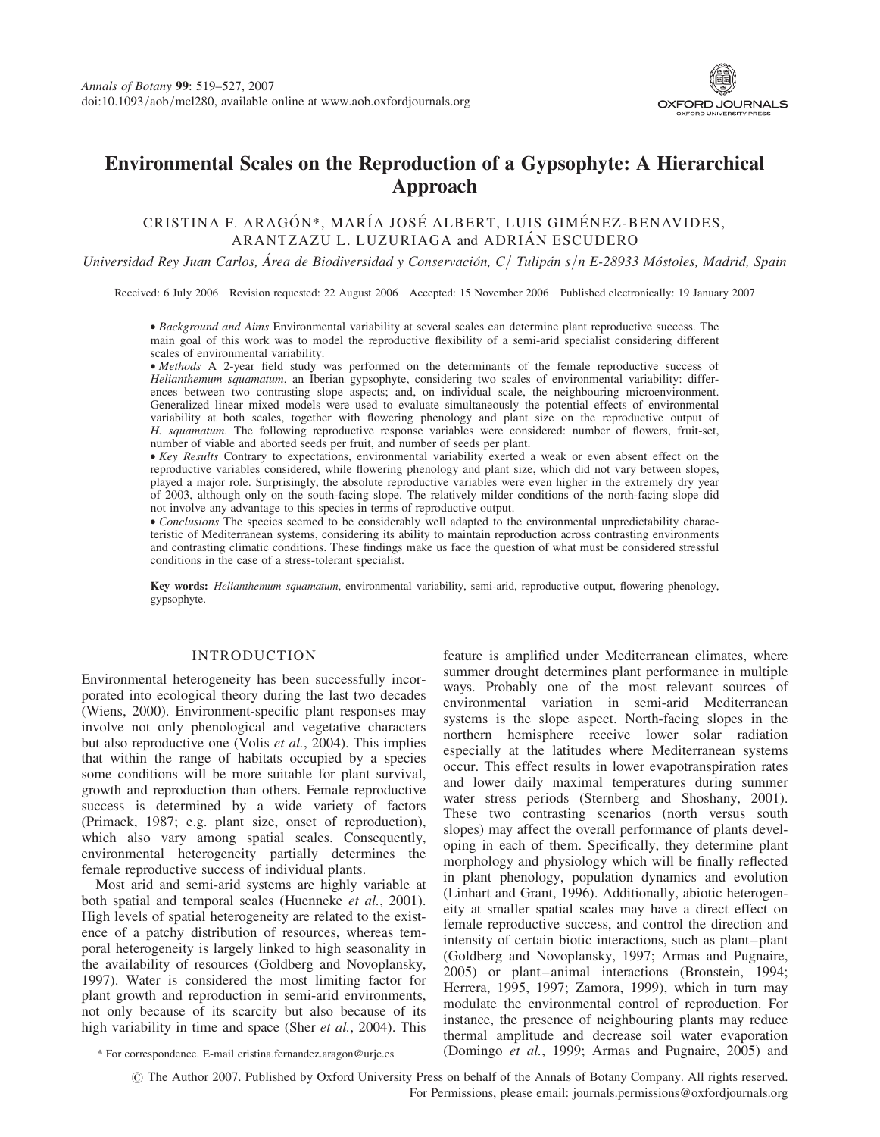

# Environmental Scales on the Reproduction of a Gypsophyte: A Hierarchical Approach

## CRISTINA F. ARAGÓN\*, MARÍA JOSÉ ALBERT, LUIS GIMÉNEZ-BENAVIDES, ARANTZAZU L. LUZURIAGA and ADRIÁN ESCUDERO

Universidad Rey Juan Carlos, Área de Biodiversidad y Conservación, C / Tulipán s/n E-28933 Móstoles, Madrid, Spain

Received: 6 July 2006 Revision requested: 22 August 2006 Accepted: 15 November 2006 Published electronically: 19 January 2007

† Background and Aims Environmental variability at several scales can determine plant reproductive success. The main goal of this work was to model the reproductive flexibility of a semi-arid specialist considering different scales of environmental variability.

† Methods A 2-year field study was performed on the determinants of the female reproductive success of Helianthemum squamatum, an Iberian gypsophyte, considering two scales of environmental variability: differences between two contrasting slope aspects; and, on individual scale, the neighbouring microenvironment. Generalized linear mixed models were used to evaluate simultaneously the potential effects of environmental variability at both scales, together with flowering phenology and plant size on the reproductive output of H. squamatum. The following reproductive response variables were considered: number of flowers, fruit-set, number of viable and aborted seeds per fruit, and number of seeds per plant.

†Key Results Contrary to expectations, environmental variability exerted a weak or even absent effect on the reproductive variables considered, while flowering phenology and plant size, which did not vary between slopes, played a major role. Surprisingly, the absolute reproductive variables were even higher in the extremely dry year of 2003, although only on the south-facing slope. The relatively milder conditions of the north-facing slope did not involve any advantage to this species in terms of reproductive output.

• Conclusions The species seemed to be considerably well adapted to the environmental unpredictability characteristic of Mediterranean systems, considering its ability to maintain reproduction across contrasting environments and contrasting climatic conditions. These findings make us face the question of what must be considered stressful conditions in the case of a stress-tolerant specialist.

Key words: Helianthemum squamatum, environmental variability, semi-arid, reproductive output, flowering phenology, gypsophyte.

## INTRODUCTION

Environmental heterogeneity has been successfully incorporated into ecological theory during the last two decades (Wiens, 2000). Environment-specific plant responses may involve not only phenological and vegetative characters but also reproductive one (Volis et al., 2004). This implies that within the range of habitats occupied by a species some conditions will be more suitable for plant survival, growth and reproduction than others. Female reproductive success is determined by a wide variety of factors (Primack, 1987; e.g. plant size, onset of reproduction), which also vary among spatial scales. Consequently, environmental heterogeneity partially determines the female reproductive success of individual plants.

Most arid and semi-arid systems are highly variable at both spatial and temporal scales (Huenneke et al., 2001). High levels of spatial heterogeneity are related to the existence of a patchy distribution of resources, whereas temporal heterogeneity is largely linked to high seasonality in the availability of resources (Goldberg and Novoplansky, 1997). Water is considered the most limiting factor for plant growth and reproduction in semi-arid environments, not only because of its scarcity but also because of its high variability in time and space (Sher et al., 2004). This

feature is amplified under Mediterranean climates, where summer drought determines plant performance in multiple ways. Probably one of the most relevant sources of environmental variation in semi-arid Mediterranean systems is the slope aspect. North-facing slopes in the northern hemisphere receive lower solar radiation especially at the latitudes where Mediterranean systems occur. This effect results in lower evapotranspiration rates and lower daily maximal temperatures during summer water stress periods (Sternberg and Shoshany, 2001). These two contrasting scenarios (north versus south slopes) may affect the overall performance of plants developing in each of them. Specifically, they determine plant morphology and physiology which will be finally reflected in plant phenology, population dynamics and evolution (Linhart and Grant, 1996). Additionally, abiotic heterogeneity at smaller spatial scales may have a direct effect on female reproductive success, and control the direction and intensity of certain biotic interactions, such as plant–plant (Goldberg and Novoplansky, 1997; Armas and Pugnaire, 2005) or plant–animal interactions (Bronstein, 1994; Herrera, 1995, 1997; Zamora, 1999), which in turn may modulate the environmental control of reproduction. For instance, the presence of neighbouring plants may reduce thermal amplitude and decrease soil water evaporation \* For correspondence. E-mail cristina.fernandez.aragon@urjc.es (Domingo et al., 1999; Armas and Pugnaire, 2005) and

 $\odot$  The Author 2007. Published by Oxford University Press on behalf of the Annals of Botany Company. All rights reserved. For Permissions, please email: journals.permissions@oxfordjournals.org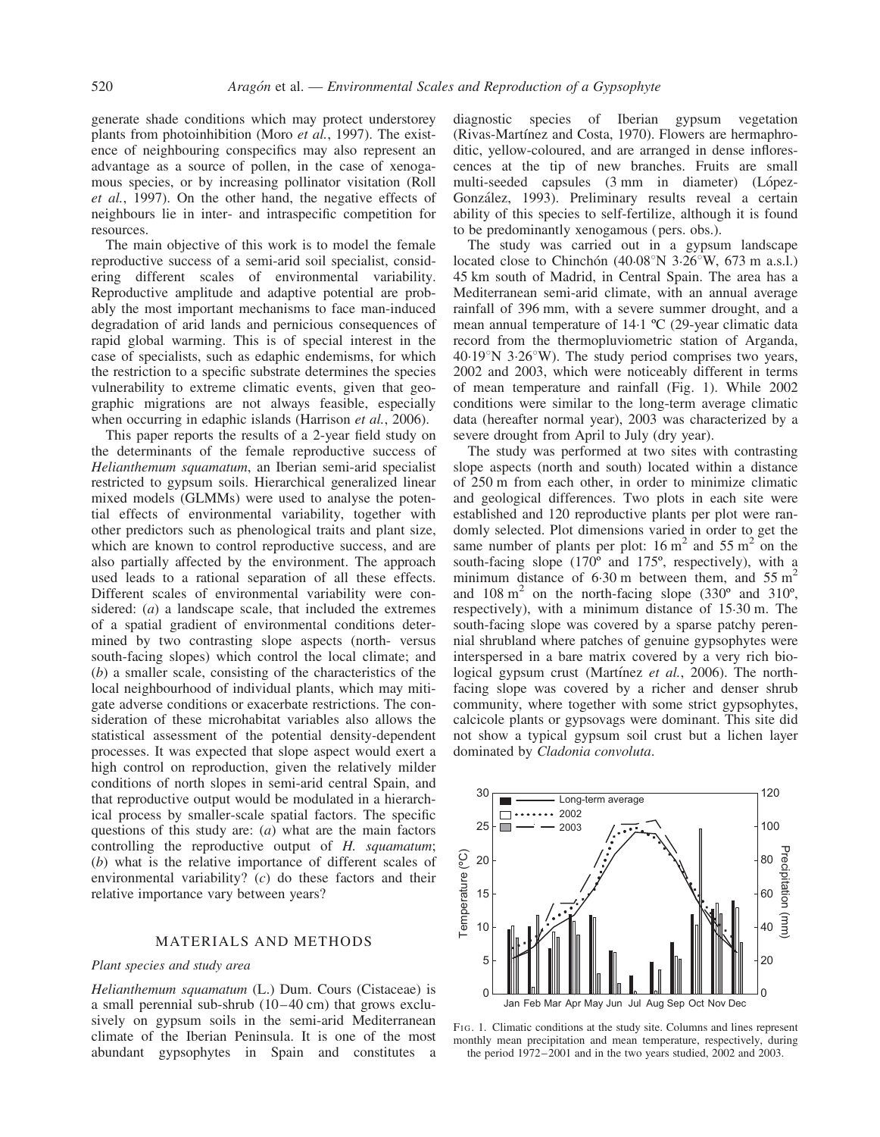generate shade conditions which may protect understorey plants from photoinhibition (Moro et al., 1997). The existence of neighbouring conspecifics may also represent an advantage as a source of pollen, in the case of xenogamous species, or by increasing pollinator visitation (Roll et al., 1997). On the other hand, the negative effects of neighbours lie in inter- and intraspecific competition for resources.

The main objective of this work is to model the female reproductive success of a semi-arid soil specialist, considering different scales of environmental variability. Reproductive amplitude and adaptive potential are probably the most important mechanisms to face man-induced degradation of arid lands and pernicious consequences of rapid global warming. This is of special interest in the case of specialists, such as edaphic endemisms, for which the restriction to a specific substrate determines the species vulnerability to extreme climatic events, given that geographic migrations are not always feasible, especially when occurring in edaphic islands (Harrison *et al.*, 2006).

This paper reports the results of a 2-year field study on the determinants of the female reproductive success of Helianthemum squamatum, an Iberian semi-arid specialist restricted to gypsum soils. Hierarchical generalized linear mixed models (GLMMs) were used to analyse the potential effects of environmental variability, together with other predictors such as phenological traits and plant size, which are known to control reproductive success, and are also partially affected by the environment. The approach used leads to a rational separation of all these effects. Different scales of environmental variability were considered: (*a*) a landscape scale, that included the extremes of a spatial gradient of environmental conditions determined by two contrasting slope aspects (north- versus south-facing slopes) which control the local climate; and (b) a smaller scale, consisting of the characteristics of the local neighbourhood of individual plants, which may mitigate adverse conditions or exacerbate restrictions. The consideration of these microhabitat variables also allows the statistical assessment of the potential density-dependent processes. It was expected that slope aspect would exert a high control on reproduction, given the relatively milder conditions of north slopes in semi-arid central Spain, and that reproductive output would be modulated in a hierarchical process by smaller-scale spatial factors. The specific questions of this study are:  $(a)$  what are the main factors controlling the reproductive output of H. squamatum; (b) what is the relative importance of different scales of environmental variability? (c) do these factors and their relative importance vary between years?

## MATERIALS AND METHODS

#### Plant species and study area

Helianthemum squamatum (L.) Dum. Cours (Cistaceae) is a small perennial sub-shrub (10–40 cm) that grows exclusively on gypsum soils in the semi-arid Mediterranean climate of the Iberian Peninsula. It is one of the most abundant gypsophytes in Spain and constitutes a diagnostic species of Iberian gypsum vegetation (Rivas-Martínez and Costa, 1970). Flowers are hermaphroditic, yellow-coloured, and are arranged in dense inflorescences at the tip of new branches. Fruits are small multi-seeded capsules (3 mm in diameter) (López-González, 1993). Preliminary results reveal a certain ability of this species to self-fertilize, although it is found to be predominantly xenogamous (pers. obs.).

The study was carried out in a gypsum landscape located close to Chinchón  $(40.08^{\circ}N \ 3.26^{\circ}W, 673 \text{ m a.s.}$ . 45 km south of Madrid, in Central Spain. The area has a Mediterranean semi-arid climate, with an annual average rainfall of 396 mm, with a severe summer drought, and a mean annual temperature of 14.1 ºC (29-year climatic data record from the thermopluviometric station of Arganda,  $40.19^{\circ}$ N 3.26°W). The study period comprises two years, 2002 and 2003, which were noticeably different in terms of mean temperature and rainfall (Fig. 1). While 2002 conditions were similar to the long-term average climatic data (hereafter normal year), 2003 was characterized by a severe drought from April to July (dry year).

The study was performed at two sites with contrasting slope aspects (north and south) located within a distance of 250 m from each other, in order to minimize climatic and geological differences. Two plots in each site were established and 120 reproductive plants per plot were randomly selected. Plot dimensions varied in order to get the same number of plants per plot:  $16 \text{ m}^2$  and  $55 \text{ m}^2$  on the south-facing slope (170º and 175º, respectively), with a minimum distance of 6.30 m between them, and  $55 \text{ m}^2$ and  $108 \text{ m}^2$  on the north-facing slope  $(330^\circ \text{ and } 310^\circ)$ , respectively), with a minimum distance of 15.30 m. The south-facing slope was covered by a sparse patchy perennial shrubland where patches of genuine gypsophytes were interspersed in a bare matrix covered by a very rich biological gypsum crust (Martínez et al., 2006). The northfacing slope was covered by a richer and denser shrub community, where together with some strict gypsophytes, calcicole plants or gypsovags were dominant. This site did not show a typical gypsum soil crust but a lichen layer dominated by Cladonia convoluta.



F<sub>1G</sub>. 1. Climatic conditions at the study site. Columns and lines represent monthly mean precipitation and mean temperature, respectively, during the period 1972–2001 and in the two years studied, 2002 and 2003.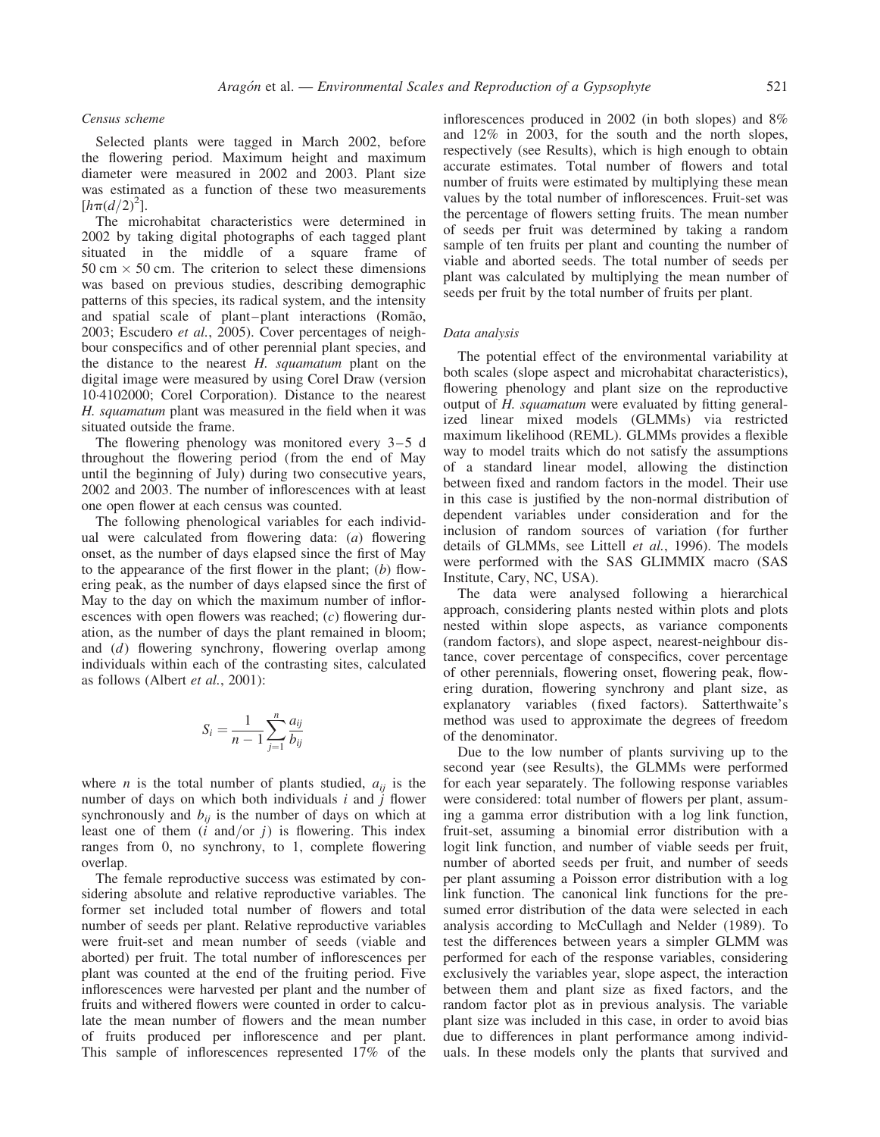#### Census scheme

Selected plants were tagged in March 2002, before the flowering period. Maximum height and maximum diameter were measured in 2002 and 2003. Plant size was estimated as a function of these two measurements  $[h\pi(d/2)^{2}].$ 

The microhabitat characteristics were determined in 2002 by taking digital photographs of each tagged plant situated in the middle of a square frame of  $50 \text{ cm} \times 50 \text{ cm}$ . The criterion to select these dimensions was based on previous studies, describing demographic patterns of this species, its radical system, and the intensity and spatial scale of plant–plant interactions (Romão, 2003; Escudero et al., 2005). Cover percentages of neighbour conspecifics and of other perennial plant species, and the distance to the nearest  $H$ , squamatum plant on the digital image were measured by using Corel Draw (version 10.4102000; Corel Corporation). Distance to the nearest H. squamatum plant was measured in the field when it was situated outside the frame.

The flowering phenology was monitored every 3–5 d throughout the flowering period (from the end of May until the beginning of July) during two consecutive years, 2002 and 2003. The number of inflorescences with at least one open flower at each census was counted.

The following phenological variables for each individual were calculated from flowering data: (a) flowering onset, as the number of days elapsed since the first of May to the appearance of the first flower in the plant;  $(b)$  flowering peak, as the number of days elapsed since the first of May to the day on which the maximum number of inflorescences with open flowers was reached;  $(c)$  flowering duration, as the number of days the plant remained in bloom; and (d) flowering synchrony, flowering overlap among individuals within each of the contrasting sites, calculated as follows (Albert et al., 2001):

$$
S_i = \frac{1}{n-1} \sum_{j=1}^{n} \frac{a_{ij}}{b_{ij}}
$$

where *n* is the total number of plants studied,  $a_{ij}$  is the number of days on which both individuals  $i$  and  $j$  flower synchronously and  $b_{ij}$  is the number of days on which at least one of them  $(i \text{ and/or } j)$  is flowering. This index ranges from 0, no synchrony, to 1, complete flowering overlap.

The female reproductive success was estimated by considering absolute and relative reproductive variables. The former set included total number of flowers and total number of seeds per plant. Relative reproductive variables were fruit-set and mean number of seeds (viable and aborted) per fruit. The total number of inflorescences per plant was counted at the end of the fruiting period. Five inflorescences were harvested per plant and the number of fruits and withered flowers were counted in order to calculate the mean number of flowers and the mean number of fruits produced per inflorescence and per plant. This sample of inflorescences represented 17% of the

inflorescences produced in 2002 (in both slopes) and 8% and 12% in 2003, for the south and the north slopes, respectively (see Results), which is high enough to obtain accurate estimates. Total number of flowers and total number of fruits were estimated by multiplying these mean values by the total number of inflorescences. Fruit-set was the percentage of flowers setting fruits. The mean number of seeds per fruit was determined by taking a random sample of ten fruits per plant and counting the number of viable and aborted seeds. The total number of seeds per plant was calculated by multiplying the mean number of seeds per fruit by the total number of fruits per plant.

#### Data analysis

The potential effect of the environmental variability at both scales (slope aspect and microhabitat characteristics), flowering phenology and plant size on the reproductive output of *H. squamatum* were evaluated by fitting generalized linear mixed models (GLMMs) via restricted maximum likelihood (REML). GLMMs provides a flexible way to model traits which do not satisfy the assumptions of a standard linear model, allowing the distinction between fixed and random factors in the model. Their use in this case is justified by the non-normal distribution of dependent variables under consideration and for the inclusion of random sources of variation (for further details of GLMMs, see Littell et al., 1996). The models were performed with the SAS GLIMMIX macro (SAS Institute, Cary, NC, USA).

The data were analysed following a hierarchical approach, considering plants nested within plots and plots nested within slope aspects, as variance components (random factors), and slope aspect, nearest-neighbour distance, cover percentage of conspecifics, cover percentage of other perennials, flowering onset, flowering peak, flowering duration, flowering synchrony and plant size, as explanatory variables (fixed factors). Satterthwaite's method was used to approximate the degrees of freedom of the denominator.

Due to the low number of plants surviving up to the second year (see Results), the GLMMs were performed for each year separately. The following response variables were considered: total number of flowers per plant, assuming a gamma error distribution with a log link function, fruit-set, assuming a binomial error distribution with a logit link function, and number of viable seeds per fruit, number of aborted seeds per fruit, and number of seeds per plant assuming a Poisson error distribution with a log link function. The canonical link functions for the presumed error distribution of the data were selected in each analysis according to McCullagh and Nelder (1989). To test the differences between years a simpler GLMM was performed for each of the response variables, considering exclusively the variables year, slope aspect, the interaction between them and plant size as fixed factors, and the random factor plot as in previous analysis. The variable plant size was included in this case, in order to avoid bias due to differences in plant performance among individuals. In these models only the plants that survived and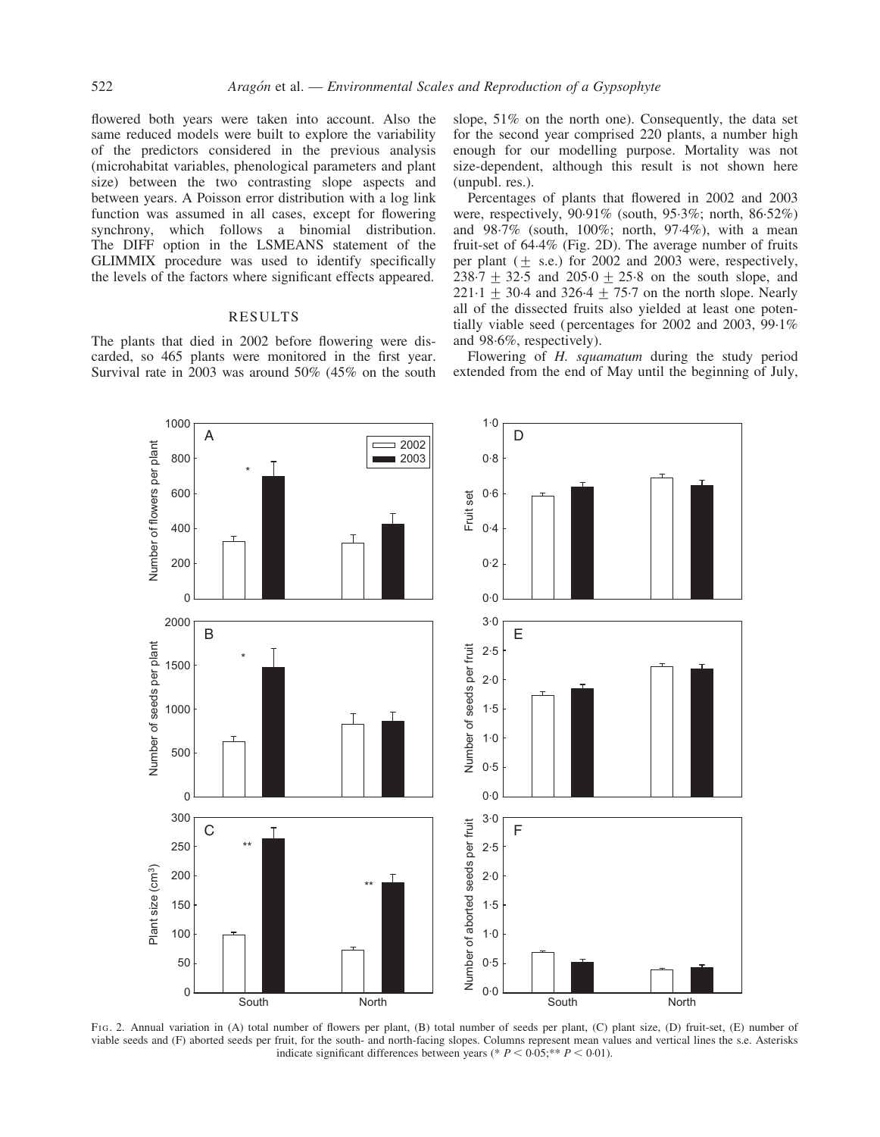flowered both years were taken into account. Also the same reduced models were built to explore the variability of the predictors considered in the previous analysis (microhabitat variables, phenological parameters and plant size) between the two contrasting slope aspects and between years. A Poisson error distribution with a log link function was assumed in all cases, except for flowering synchrony, which follows a binomial distribution. The DIFF option in the LSMEANS statement of the GLIMMIX procedure was used to identify specifically the levels of the factors where significant effects appeared.

### RESULTS

The plants that died in 2002 before flowering were discarded, so 465 plants were monitored in the first year. Survival rate in 2003 was around 50% (45% on the south slope, 51% on the north one). Consequently, the data set for the second year comprised 220 plants, a number high enough for our modelling purpose. Mortality was not size-dependent, although this result is not shown here (unpubl. res.).

Percentages of plants that flowered in 2002 and 2003 were, respectively, 90.91% (south, 95.3%; north, 86.52%) and 98.7% (south, 100%; north, 97.4%), with a mean fruit-set of 64.4% (Fig. 2D). The average number of fruits per plant  $(+$  s.e.) for 2002 and 2003 were, respectively, 238.7  $\pm$  32.5 and 205.0  $\pm$  25.8 on the south slope, and 221.1  $\pm$  30.4 and 326.4  $\pm$  75.7 on the north slope. Nearly all of the dissected fruits also yielded at least one potentially viable seed (percentages for 2002 and 2003, 99.1% and 98.6%, respectively).

Flowering of H. squamatum during the study period extended from the end of May until the beginning of July,



FIG. 2. Annual variation in (A) total number of flowers per plant, (B) total number of seeds per plant, (C) plant size, (D) fruit-set, (E) number of viable seeds and (F) aborted seeds per fruit, for the south- and north-facing slopes. Columns represent mean values and vertical lines the s.e. Asterisks indicate significant differences between years (\*  $P < 0.05$ ; \*\*  $P < 0.01$ ).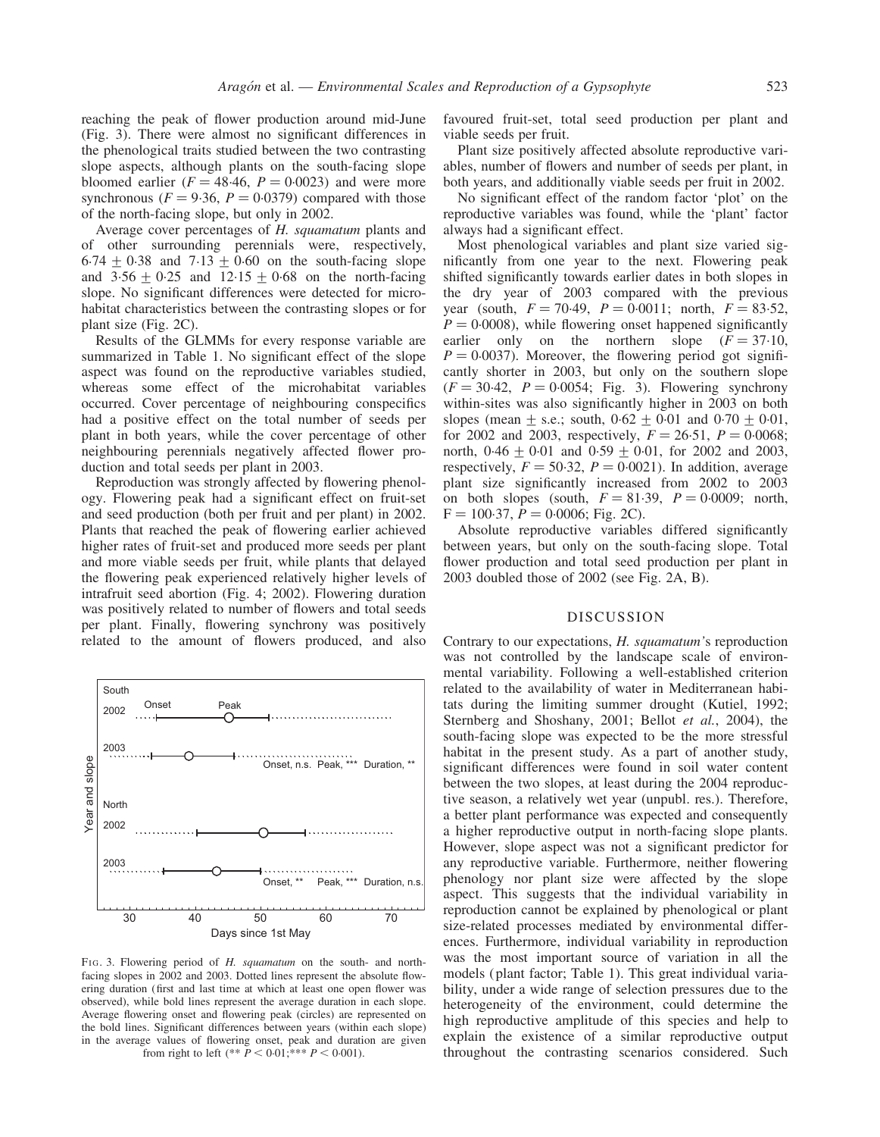reaching the peak of flower production around mid-June (Fig. 3). There were almost no significant differences in the phenological traits studied between the two contrasting slope aspects, although plants on the south-facing slope bloomed earlier  $(F = 48.46, P = 0.0023)$  and were more synchronous ( $F = 9.36$ ,  $P = 0.0379$ ) compared with those of the north-facing slope, but only in 2002.

Average cover percentages of H. squamatum plants and of other surrounding perennials were, respectively,  $6.74 + 0.38$  and  $7.13 + 0.60$  on the south-facing slope and  $3.56 + 0.25$  and  $12.15 + 0.68$  on the north-facing slope. No significant differences were detected for microhabitat characteristics between the contrasting slopes or for plant size (Fig. 2C).

Results of the GLMMs for every response variable are summarized in Table 1. No significant effect of the slope aspect was found on the reproductive variables studied, whereas some effect of the microhabitat variables occurred. Cover percentage of neighbouring conspecifics had a positive effect on the total number of seeds per plant in both years, while the cover percentage of other neighbouring perennials negatively affected flower production and total seeds per plant in 2003.

Reproduction was strongly affected by flowering phenology. Flowering peak had a significant effect on fruit-set and seed production (both per fruit and per plant) in 2002. Plants that reached the peak of flowering earlier achieved higher rates of fruit-set and produced more seeds per plant and more viable seeds per fruit, while plants that delayed the flowering peak experienced relatively higher levels of intrafruit seed abortion (Fig. 4; 2002). Flowering duration was positively related to number of flowers and total seeds per plant. Finally, flowering synchrony was positively related to the amount of flowers produced, and also



FIG. 3. Flowering period of H. squamatum on the south- and northfacing slopes in 2002 and 2003. Dotted lines represent the absolute flowering duration (first and last time at which at least one open flower was observed), while bold lines represent the average duration in each slope. Average flowering onset and flowering peak (circles) are represented on the bold lines. Significant differences between years (within each slope) in the average values of flowering onset, peak and duration are given from right to left  $(** P < 0.01; ** P < 0.001)$ .

favoured fruit-set, total seed production per plant and viable seeds per fruit.

Plant size positively affected absolute reproductive variables, number of flowers and number of seeds per plant, in both years, and additionally viable seeds per fruit in 2002.

No significant effect of the random factor 'plot' on the reproductive variables was found, while the 'plant' factor always had a significant effect.

Most phenological variables and plant size varied significantly from one year to the next. Flowering peak shifted significantly towards earlier dates in both slopes in the dry year of 2003 compared with the previous year (south,  $F = 70.49$ ,  $P = 0.0011$ ; north,  $F = 83.52$ ,  $P = 0.0008$ , while flowering onset happened significantly earlier only on the northern slope  $(F = 37.10,$  $P = 0.0037$ ). Moreover, the flowering period got significantly shorter in 2003, but only on the southern slope  $(F = 30.42, P = 0.0054;$  Fig. 3). Flowering synchrony within-sites was also significantly higher in 2003 on both slopes (mean  $\pm$  s.e.; south,  $0.62 \pm 0.01$  and  $0.70 \pm 0.01$ , for 2002 and 2003, respectively,  $F = 26.51$ ,  $P = 0.0068$ ; north,  $0.46 + 0.01$  and  $0.59 + 0.01$ , for 2002 and 2003, respectively,  $F = 50.32$ ,  $P = 0.0021$ ). In addition, average plant size significantly increased from 2002 to 2003 on both slopes (south,  $F = 81.39$ ,  $P = 0.0009$ ; north,  $F = 100.37, P = 0.0006$ ; Fig. 2C).

Absolute reproductive variables differed significantly between years, but only on the south-facing slope. Total flower production and total seed production per plant in 2003 doubled those of 2002 (see Fig. 2A, B).

#### DISCUSSION

Contrary to our expectations, H. squamatum's reproduction was not controlled by the landscape scale of environmental variability. Following a well-established criterion related to the availability of water in Mediterranean habitats during the limiting summer drought (Kutiel, 1992; Sternberg and Shoshany, 2001; Bellot et al., 2004), the south-facing slope was expected to be the more stressful habitat in the present study. As a part of another study, significant differences were found in soil water content between the two slopes, at least during the 2004 reproductive season, a relatively wet year (unpubl. res.). Therefore, a better plant performance was expected and consequently a higher reproductive output in north-facing slope plants. However, slope aspect was not a significant predictor for any reproductive variable. Furthermore, neither flowering phenology nor plant size were affected by the slope aspect. This suggests that the individual variability in reproduction cannot be explained by phenological or plant size-related processes mediated by environmental differences. Furthermore, individual variability in reproduction was the most important source of variation in all the models (plant factor; Table 1). This great individual variability, under a wide range of selection pressures due to the heterogeneity of the environment, could determine the high reproductive amplitude of this species and help to explain the existence of a similar reproductive output throughout the contrasting scenarios considered. Such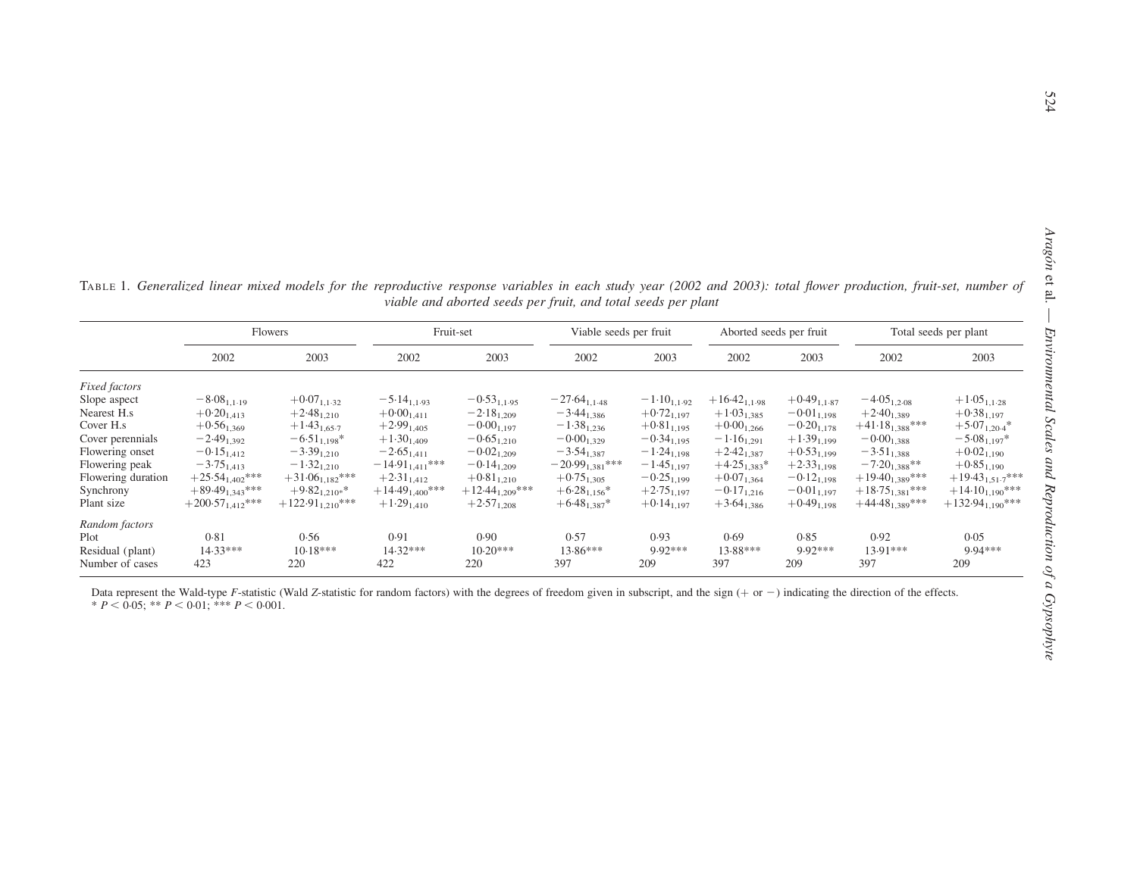TABLE 1. Generalized linear mixed models for the reproductive response variables in each study year (2002 and 2003): total flower production, fruit-set, number of viable and aborted seeds per fruit, and total seeds per plant

|                    | Flowers               |                       | Fruit-set            |                      | Viable seeds per fruit |                  | Aborted seeds per fruit |                  | Total seeds per plant |                       |
|--------------------|-----------------------|-----------------------|----------------------|----------------------|------------------------|------------------|-------------------------|------------------|-----------------------|-----------------------|
|                    | 2002                  | 2003                  | 2002                 | 2003                 | 2002                   | 2003             | 2002                    | 2003             | 2002                  | 2003                  |
| Fixed factors      |                       |                       |                      |                      |                        |                  |                         |                  |                       |                       |
| Slope aspect       | $-8.08_{1,1.19}$      | $+0.07_{1,1.32}$      | $-5.14_{1,1.93}$     | $-0.53_{1,1.95}$     | $-27.64_{1,1.48}$      | $-1.10_{1,1.92}$ | $+16.42_{1,1.98}$       | $+0.49_{1,1.87}$ | $-4.05_{1,2.08}$      | $+1.05_{1,1.28}$      |
| Nearest H.s.       | $+0.20_{1,413}$       | $+2.48_{1,210}$       | $+0.00_{1,411}$      | $-2.18_{1,209}$      | $-3.44_{1,386}$        | $+0.72_{1,197}$  | $+1.03_{1,385}$         | $-0.01_{1,198}$  | $+2.40_{1,389}$       | $+0.38_{1,197}$       |
| Cover H.s.         | $+0.56_{1,369}$       | $+1.43_{1,65.7}$      | $+2.99_{1,405}$      | $-0.00_{1,197}$      | $-1.38_{1,236}$        | $+0.81_{1,195}$  | $+0.00_{1,266}$         | $-0.20_{1,178}$  | $+41.18_{1,388}$ ***  | $+5.07_{1,20.4}$ *    |
| Cover perennials   | $-2.49_{1,392}$       | $-6.51_{1,198}$ *     | $+1.30_{1,409}$      | $-0.65_{1,210}$      | $-0.00_{1,329}$        | $-0.34_{1,195}$  | $-1.16_{1,291}$         | $+1.39_{1,199}$  | $-0.00_{1,388}$       | $-5.08_{1,197}$ *     |
| Flowering onset    | $-0.15_{1,412}$       | $-3.39_{1,210}$       | $-2.65_{1,411}$      | $-0.02_{1,209}$      | $-3.54_{1,387}$        | $-1.24_{1,198}$  | $+2.42_{1,387}$         | $+0.53_{1,199}$  | $-3.51_{1,388}$       | $+0.02_{1,190}$       |
| Flowering peak     | $-3.75_{1,413}$       | $-1.32_{1,210}$       | $-14.91_{1,411}***$  | $-0.14_{1,209}$      | $-20.99_{1,381}$ ***   | $-1.45_{1,197}$  | $+4.25_{1,383}$ *       | $+2.33_{1,198}$  | $-7.20_{1,388}$ **    | $+0.85_{1,190}$       |
| Flowering duration | $+25.54_{1,402}$ ***  | $+31.06_{1,182}$ ***  | $+2.31_{1,412}$      | $+0.81_{1,210}$      | $+0.75_{1,305}$        | $-0.25_{1,199}$  | $+0.07_{1,364}$         | $-0.12_{1,198}$  | $+19.40_{1,389}$ ***  | $+19.43_{1,51.7}$ *** |
| Synchrony          | $+89.49_{1,343}***$   | $+9.82_{1,210*}$ *    | $+14.49_{1,400}$ *** | $+12.44_{1,209}$ *** | $+6.28_{1,156}$ *      | $+2.75_{1,197}$  | $-0.17_{1,216}$         | $-0.01_{1,197}$  | $+18.75_{1,381}$ ***  | $+14.10_{1,190}$ ***  |
| Plant size         | $+200.57_{1,412}$ *** | $+122.91_{1,210}$ *** | $+1.29_{1,410}$      | $+2.57_{1,208}$      | $+6.48_{1,387}$ *      | $+0.14_{1,197}$  | $+3.64_{1,386}$         | $+0.49_{1,198}$  | $+44.48_{1,389}$ ***  | $+132.94_{1,190}$ *** |
| Random factors     |                       |                       |                      |                      |                        |                  |                         |                  |                       |                       |
| Plot               | 0.81                  | 0.56                  | 0.91                 | 0.90                 | 0.57                   | 0.93             | 0.69                    | 0.85             | 0.92                  | 0.05                  |
| Residual (plant)   | 14.33***              | $10.18***$            | 14.32***             | $10.20***$           | 13.86***               | 9.92***          | 13.88***                | $9.92***$        | 13.91***              | 9.94***               |
| Number of cases    | 423                   | 220                   | 422                  | 220                  | 397                    | 209              | 397                     | 209              | 397                   | 209                   |

Data represent the Wald-type F-statistic (Wald Z-statistic for random factors) with the degrees of freedom given in subscript, and the sign (+ or -) indicating the direction of the effects. \*  $P < 0.05$ ; \*\*  $P < 0.01$ ; \*\*\*  $P < 0.001$ .

Aragón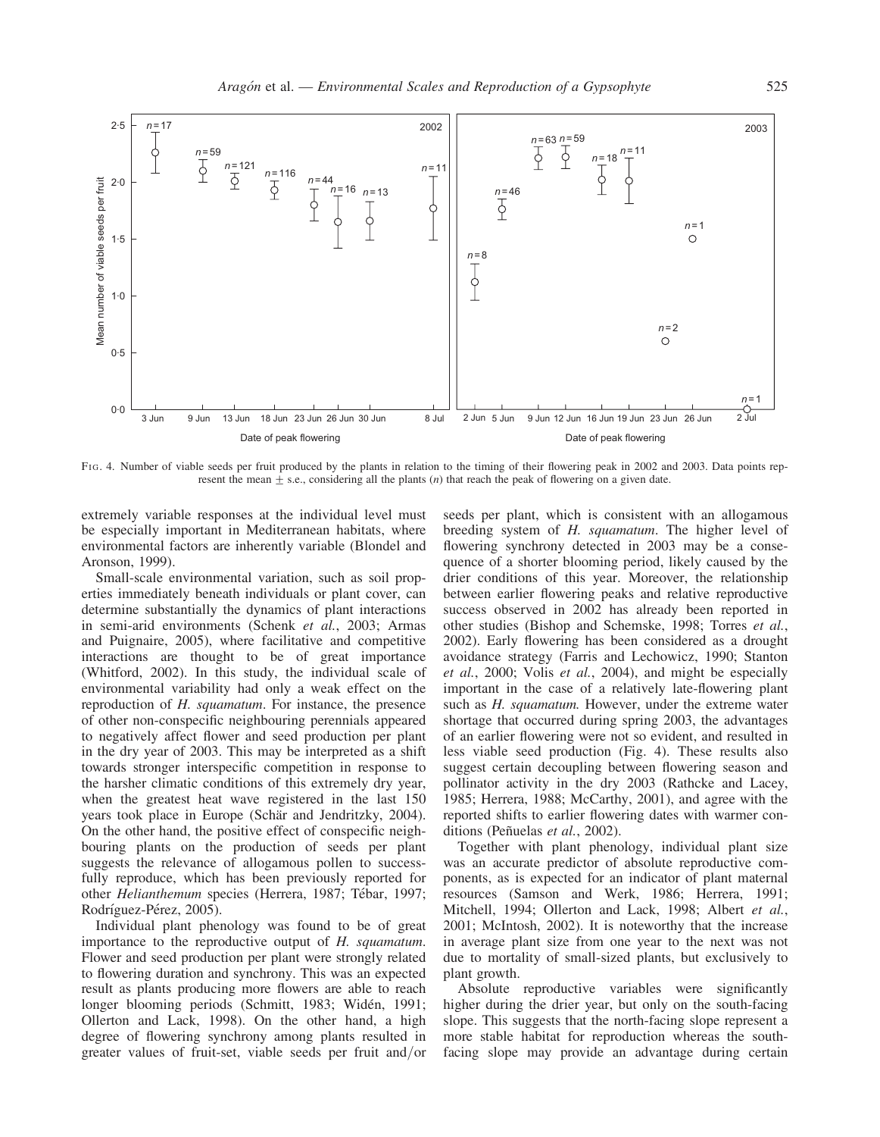

FIG. 4. Number of viable seeds per fruit produced by the plants in relation to the timing of their flowering peak in 2002 and 2003. Data points represent the mean  $\pm$  s.e., considering all the plants (*n*) that reach the peak of flowering on a given date.

extremely variable responses at the individual level must be especially important in Mediterranean habitats, where environmental factors are inherently variable (Blondel and Aronson, 1999).

Small-scale environmental variation, such as soil properties immediately beneath individuals or plant cover, can determine substantially the dynamics of plant interactions in semi-arid environments (Schenk et al., 2003; Armas and Puignaire, 2005), where facilitative and competitive interactions are thought to be of great importance (Whitford, 2002). In this study, the individual scale of environmental variability had only a weak effect on the reproduction of H. squamatum. For instance, the presence of other non-conspecific neighbouring perennials appeared to negatively affect flower and seed production per plant in the dry year of 2003. This may be interpreted as a shift towards stronger interspecific competition in response to the harsher climatic conditions of this extremely dry year, when the greatest heat wave registered in the last 150 years took place in Europe (Schär and Jendritzky, 2004). On the other hand, the positive effect of conspecific neighbouring plants on the production of seeds per plant suggests the relevance of allogamous pollen to successfully reproduce, which has been previously reported for other Helianthemum species (Herrera, 1987; Tébar, 1997; Rodríguez-Pérez, 2005).

Individual plant phenology was found to be of great importance to the reproductive output of H. squamatum. Flower and seed production per plant were strongly related to flowering duration and synchrony. This was an expected result as plants producing more flowers are able to reach longer blooming periods (Schmitt, 1983; Widén, 1991; Ollerton and Lack, 1998). On the other hand, a high degree of flowering synchrony among plants resulted in greater values of fruit-set, viable seeds per fruit and/or

seeds per plant, which is consistent with an allogamous breeding system of H. squamatum. The higher level of flowering synchrony detected in 2003 may be a consequence of a shorter blooming period, likely caused by the drier conditions of this year. Moreover, the relationship between earlier flowering peaks and relative reproductive success observed in 2002 has already been reported in other studies (Bishop and Schemske, 1998; Torres et al., 2002). Early flowering has been considered as a drought avoidance strategy (Farris and Lechowicz, 1990; Stanton et al., 2000; Volis et al., 2004), and might be especially important in the case of a relatively late-flowering plant such as *H. squamatum*. However, under the extreme water shortage that occurred during spring 2003, the advantages of an earlier flowering were not so evident, and resulted in less viable seed production (Fig. 4). These results also suggest certain decoupling between flowering season and pollinator activity in the dry 2003 (Rathcke and Lacey, 1985; Herrera, 1988; McCarthy, 2001), and agree with the reported shifts to earlier flowering dates with warmer conditions (Peñuelas et al., 2002).

Together with plant phenology, individual plant size was an accurate predictor of absolute reproductive components, as is expected for an indicator of plant maternal resources (Samson and Werk, 1986; Herrera, 1991; Mitchell, 1994; Ollerton and Lack, 1998; Albert et al., 2001; McIntosh, 2002). It is noteworthy that the increase in average plant size from one year to the next was not due to mortality of small-sized plants, but exclusively to plant growth.

Absolute reproductive variables were significantly higher during the drier year, but only on the south-facing slope. This suggests that the north-facing slope represent a more stable habitat for reproduction whereas the southfacing slope may provide an advantage during certain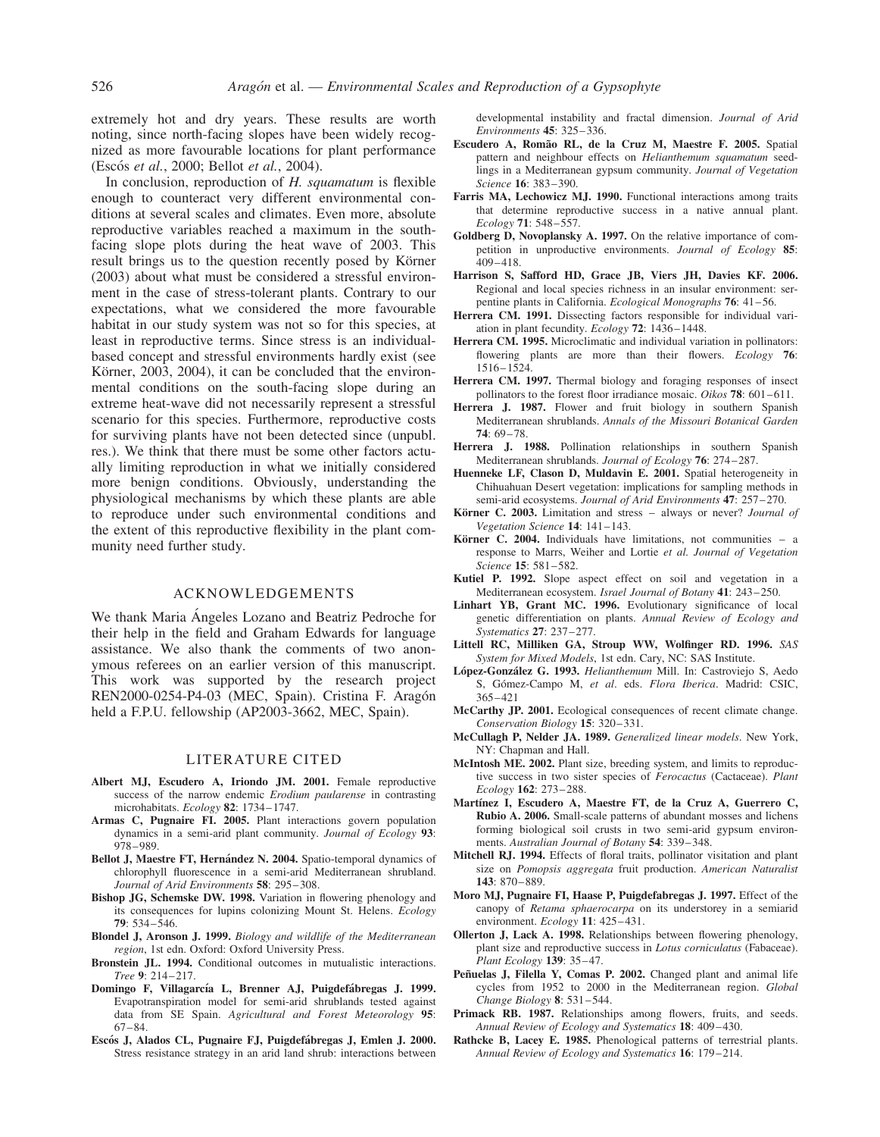extremely hot and dry years. These results are worth noting, since north-facing slopes have been widely recognized as more favourable locations for plant performance (Escós et al., 2000; Bellot et al., 2004).

In conclusion, reproduction of  $H$ , squamatum is flexible enough to counteract very different environmental conditions at several scales and climates. Even more, absolute reproductive variables reached a maximum in the southfacing slope plots during the heat wave of 2003. This result brings us to the question recently posed by Körner (2003) about what must be considered a stressful environment in the case of stress-tolerant plants. Contrary to our expectations, what we considered the more favourable habitat in our study system was not so for this species, at least in reproductive terms. Since stress is an individualbased concept and stressful environments hardly exist (see Körner, 2003, 2004), it can be concluded that the environmental conditions on the south-facing slope during an extreme heat-wave did not necessarily represent a stressful scenario for this species. Furthermore, reproductive costs for surviving plants have not been detected since (unpubl. res.). We think that there must be some other factors actually limiting reproduction in what we initially considered more benign conditions. Obviously, understanding the physiological mechanisms by which these plants are able to reproduce under such environmental conditions and the extent of this reproductive flexibility in the plant community need further study.

## ACKNOWLEDGEMENTS

We thank Maria Angeles Lozano and Beatriz Pedroche for their help in the field and Graham Edwards for language assistance. We also thank the comments of two anonymous referees on an earlier version of this manuscript. This work was supported by the research project REN2000-0254-P4-03 (MEC, Spain). Cristina F. Aragón held a F.P.U. fellowship (AP2003-3662, MEC, Spain).

#### LITERATURE CITED

- Albert MJ, Escudero A, Iriondo JM. 2001. Female reproductive success of the narrow endemic *Erodium paularense* in contrasting microhabitats. Ecology 82: 1734–1747.
- Armas C, Pugnaire FI. 2005. Plant interactions govern population dynamics in a semi-arid plant community. Journal of Ecology 93: 978–989.
- Bellot J, Maestre FT, Hernández N. 2004. Spatio-temporal dynamics of chlorophyll fluorescence in a semi-arid Mediterranean shrubland. Journal of Arid Environments 58: 295–308.
- Bishop JG, Schemske DW. 1998. Variation in flowering phenology and its consequences for lupins colonizing Mount St. Helens. Ecology 79: 534–546.
- Blondel J, Aronson J. 1999. Biology and wildlife of the Mediterranean region, 1st edn. Oxford: Oxford University Press.
- Bronstein JL. 1994. Conditional outcomes in mutualistic interactions. Tree 9: 214–217.
- Domingo F, Villagarcía L, Brenner AJ, Puigdefábregas J. 1999. Evapotranspiration model for semi-arid shrublands tested against data from SE Spain. Agricultural and Forest Meteorology 95: 67–84.
- Escós J, Alados CL, Pugnaire FJ, Puigdefábregas J, Emlen J. 2000. Stress resistance strategy in an arid land shrub: interactions between

developmental instability and fractal dimension. Journal of Arid Environments 45: 325–336.

- Escudero A, Romão RL, de la Cruz M, Maestre F, 2005. Spatial pattern and neighbour effects on Helianthemum squamatum seedlings in a Mediterranean gypsum community. Journal of Vegetation Science 16: 383–390.
- Farris MA, Lechowicz MJ. 1990. Functional interactions among traits that determine reproductive success in a native annual plant. Ecology 71: 548–557.
- Goldberg D, Novoplansky A. 1997. On the relative importance of competition in unproductive environments. Journal of Ecology 85: 409–418.
- Harrison S, Safford HD, Grace JB, Viers JH, Davies KF. 2006. Regional and local species richness in an insular environment: serpentine plants in California. Ecological Monographs 76: 41–56.
- Herrera CM. 1991. Dissecting factors responsible for individual variation in plant fecundity. Ecology 72: 1436–1448.
- Herrera CM. 1995. Microclimatic and individual variation in pollinators: flowering plants are more than their flowers. *Ecology* 76: 1516–1524.
- Herrera CM. 1997. Thermal biology and foraging responses of insect pollinators to the forest floor irradiance mosaic. Oikos 78: 601–611.
- Herrera J. 1987. Flower and fruit biology in southern Spanish Mediterranean shrublands. Annals of the Missouri Botanical Garden 74: 69–78.
- Herrera J. 1988. Pollination relationships in southern Spanish Mediterranean shrublands. Journal of Ecology 76: 274–287.
- Huenneke LF, Clason D, Muldavin E. 2001. Spatial heterogeneity in Chihuahuan Desert vegetation: implications for sampling methods in semi-arid ecosystems. Journal of Arid Environments 47: 257-270.
- Körner C. 2003. Limitation and stress always or never? Journal of Vegetation Science 14: 141–143.
- Körner C. 2004. Individuals have limitations, not communities  $-$  a response to Marrs, Weiher and Lortie et al. Journal of Vegetation Science 15: 581–582.
- Kutiel P. 1992. Slope aspect effect on soil and vegetation in a Mediterranean ecosystem. Israel Journal of Botany 41: 243–250.
- Linhart YB, Grant MC. 1996. Evolutionary significance of local genetic differentiation on plants. Annual Review of Ecology and Systematics 27: 237–277.
- Littell RC, Milliken GA, Stroup WW, Wolfinger RD. 1996. SAS System for Mixed Models, 1st edn. Cary, NC: SAS Institute.
- López-González G. 1993. Helianthemum Mill. In: Castroviejo S, Aedo S, Gómez-Campo M, et al. eds. Flora Iberica. Madrid: CSIC, 365–421
- McCarthy JP. 2001. Ecological consequences of recent climate change. Conservation Biology 15: 320–331.
- McCullagh P, Nelder JA. 1989. Generalized linear models. New York, NY: Chapman and Hall.
- McIntosh ME. 2002. Plant size, breeding system, and limits to reproductive success in two sister species of Ferocactus (Cactaceae). Plant Ecology 162: 273–288.
- Martínez I, Escudero A, Maestre FT, de la Cruz A, Guerrero C, Rubio A. 2006. Small-scale patterns of abundant mosses and lichens forming biological soil crusts in two semi-arid gypsum environments. Australian Journal of Botany 54: 339–348.
- Mitchell RJ. 1994. Effects of floral traits, pollinator visitation and plant size on Pomopsis aggregata fruit production. American Naturalist 143: 870–889.
- Moro MJ, Pugnaire FI, Haase P, Puigdefabregas J. 1997. Effect of the canopy of Retama sphaerocarpa on its understorey in a semiarid environment. Ecology 11: 425–431.
- Ollerton J, Lack A. 1998. Relationships between flowering phenology, plant size and reproductive success in Lotus corniculatus (Fabaceae). Plant Ecology 139: 35–47.
- Peñuelas J, Filella Y, Comas P. 2002. Changed plant and animal life cycles from 1952 to 2000 in the Mediterranean region. Global Change Biology 8: 531–544.
- Primack RB. 1987. Relationships among flowers, fruits, and seeds. Annual Review of Ecology and Systematics 18: 409–430.
- Rathcke B, Lacey E. 1985. Phenological patterns of terrestrial plants. Annual Review of Ecology and Systematics 16: 179–214.